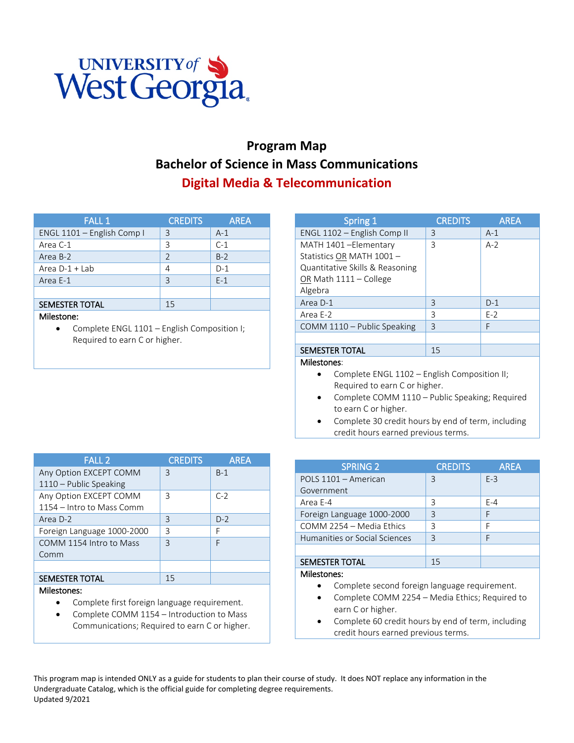

# **Program Map Bachelor of Science in Mass Communications Digital Media & Telecommunication**

| <b>FALL 1</b>              | <b>CREDITS</b> | <b>AREA</b> |
|----------------------------|----------------|-------------|
| ENGL 1101 - English Comp I | 3              | $A-1$       |
| Area C-1                   | 3              | $C-1$       |
| Area B-2                   | $\mathfrak{D}$ | $B-2$       |
| Area $D-1 + Lab$           |                | $D-1$       |
| Area E-1                   | 3              | $F-1$       |
|                            |                |             |
| <b>SEMESTER TOTAL</b>      | 15             |             |

# Milestone:

• Complete ENGL 1101 – English Composition I; Required to earn C or higher.

| Spring 1                                                                                                                 | <b>CREDITS</b> | <b>AREA</b> |
|--------------------------------------------------------------------------------------------------------------------------|----------------|-------------|
| ENGL 1102 - English Comp II                                                                                              | 3              | $A-1$       |
| MATH 1401-Elementary<br>Statistics OR MATH 1001-<br>Quantitative Skills & Reasoning<br>OR Math 1111 - College<br>Algebra | 3              | $A-2$       |
| Area D-1                                                                                                                 | 3              | $D-1$       |
| Area E-2                                                                                                                 | 3              | $E-2$       |
| COMM 1110 - Public Speaking                                                                                              | 3              | F           |
|                                                                                                                          |                |             |
| <b>SEMESTER TOTAL</b>                                                                                                    | 15             |             |
| <b>Milestones:</b><br>.                                                                                                  |                |             |

- Complete ENGL 1102 English Composition II; Required to earn C or higher.
- Complete COMM 1110 Public Speaking; Required to earn C or higher.
- Complete 30 credit hours by end of term, including credit hours earned previous terms.

| <b>FALL 2</b>              | <b>CREDITS</b> | <b>AREA</b> |
|----------------------------|----------------|-------------|
| Any Option EXCEPT COMM     | 3              | $B-1$       |
| 1110 - Public Speaking     |                |             |
| Any Option EXCEPT COMM     | 3              | $C-2$       |
| 1154 – Intro to Mass Comm  |                |             |
| Area D-2                   | 3              | $D-2$       |
| Foreign Language 1000-2000 | 3              | F           |
| COMM 1154 Intro to Mass    | 3              | F           |
| Comm                       |                |             |
|                            |                |             |
| <b>SEMESTER TOTAL</b>      | 15             |             |
| 8. 41   _ _ _ _ _ _        |                |             |

## Milestones:

- Complete first foreign language requirement.
- Complete COMM 1154 Introduction to Mass Communications; Required to earn C or higher.

| <b>SPRING 2</b>               | <b>CREDITS</b> | <b>AREA</b> |
|-------------------------------|----------------|-------------|
| POLS 1101 - American          | 3              | $F-3$       |
| Government                    |                |             |
| Area E-4                      | 3              | $F-4$       |
| Foreign Language 1000-2000    | 3              |             |
| COMM 2254 - Media Ethics      | $\mathbf{R}$   | F           |
| Humanities or Social Sciences | 3              |             |
|                               |                |             |
| <b>SEMESTER TOTAL</b>         | 15             |             |
| <b>Milestones:</b>            |                |             |

- Complete second foreign language requirement.
- Complete COMM 2254 Media Ethics; Required to earn C or higher.
- Complete 60 credit hours by end of term, including credit hours earned previous terms.

This program map is intended ONLY as a guide for students to plan their course of study. It does NOT replace any information in the Undergraduate Catalog, which is the official guide for completing degree requirements. Updated 9/2021